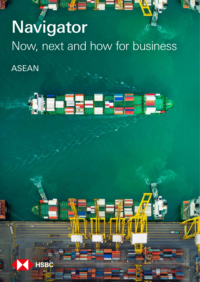# Navigator Now, next and how for business ASEAN



**HSBC**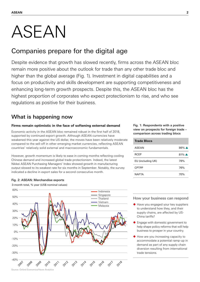## ASEAN

## Companies prepare for the digital age

Despite evidence that growth has slowed recently, firms across the ASEAN bloc remain more positive about the outlook for trade than any other trade bloc and higher than the global average (Fig. 1). Investment in digital capabilities and a focus on productivity and skills development are supporting competitiveness and enhancing long-term growth prospects. Despite this, the ASEAN bloc has the highest proportion of corporates who expect protectionism to rise, and who see regulations as positive for their business.

## What is happening now

## **Firms remain optimistic in the face of softening external demand**

Economic activity in the ASEAN bloc remained robust in the first half of 2018, supported by continued export growth. Although ASEAN currencies have weakened this year against the US dollar, the moves have been relatively moderate compared to the sell-off in other emerging market currencies, reflecting ASEAN countries' relatively solid external and macroeconomic fundamentals.

However, growth momentum is likely to ease in coming months reflecting cooling Chinese demand and increased global trade protectionism. Indeed, the latest Nikkei ASEAN Purchasing Managers' Index showed growth in manufacturing output slowed to its weakest rate for six months in September. Notably, the survey indicated a decline in export sales for a second consecutive month.

## Fig. 2: ASEAN: Merchandise exports



3-month total, % year (US\$ nominal values)

## Fig. 1: Respondents with a positive view on prospects for foreign trade – comparison across trading blocs

| <b>Trade Blocs</b> |                    |
|--------------------|--------------------|
| ASFAN              | $86\%$ $\triangle$ |
| <b>RCEP</b>        | $81\%$ $\triangle$ |
| EU (including UK)  | 78%                |
| <b>CPTPP</b>       | 76%                |
| <b>NAFTA</b>       | 70%                |

## How your business can respond

- ◆ Have you engaged your key suppliers to understand how they, and their supply chains, are affected by US-China tariffs?
- Engage with domestic government to help shape policy reforms that will help business to prosper in your country.
- How are you increasing capacity to accommodate a potential ramp-up in demand as part of any supply chain diversion resulting from international trade tensions.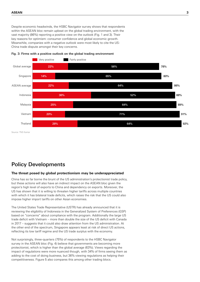Despite economic headwinds, the HSBC Navigator survey shows that respondents within the ASEAN bloc remain upbeat on the global trading environment, with the vast majority (86%) reporting a positive view on the outlook (Fig. 1 and 3). Their key reasons for optimism: consumer confidence and global economic growth. Meanwhile, companies with a negative outlook were most likely to cite the US-China trade dispute amongst their key concerns.



#### Fig. 3: Firms with a positive outlook on the global trading environment

Source: TNS Kantar

## Policy Developments

## **The threat posed by global protectionism may be underappreciated**

China has so far borne the brunt of the US administration's protectionist trade policy, but these actions will also have an indirect impact on the ASEAN bloc given the region's high level of exports to China and dependency on exports. Moreover, the US has shown that it is willing to threaten higher tariffs across multiple countries with which it has bilateral trade deficits, which raises the risk that the US could also impose higher import tariffs on other Asian economies.

The United States Trade Representative (USTR) has already announced that it is reviewing the eligibility of Indonesia in the Generalized System of Preferences (GSP) based on "concerns" about compliance with the program. Additionally the large US trade deficit with Vietnam – more than double the size of the US deficit with Canada in 2017 – suggests that it could also draw attention from the US administration. At the other end of the spectrum, Singapore appears least at risk of direct US actions, reflecting its low tariff regime and the US trade surplus with the economy.

Not surprisingly, three-quarters (75%) of respondents to the HSBC Navigator survey in the ASEAN bloc (Fig. 4) believe that governments are becoming more protectionist, which is higher than the global average (63%). Views regarding the impact of regulations were more nuanced though, with 34% of firms seeing them as adding to the cost of doing business, but 36% viewing regulations as helping their competitiveness. Figure 5 also compares this among other trading blocs.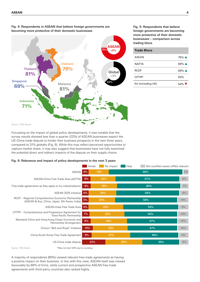

Fig. 4: Respondents in ASEAN that believe foreign governments are becoming more protective of their domestic businesses

Fig. 5: Respondents that believe foreign governments are becoming more protective of their domestic businesses – comparison across trading blocs

| <b>Trade Blocs</b> |                             |
|--------------------|-----------------------------|
| ASFAN              | $75\%$ $\triangle$          |
| <b>NAFTA</b>       | $69\%$ $\triangle$          |
| <b>RCEP</b>        | $69\%$ $\triangle$          |
| <b>CPTPP</b>       | 63%                         |
| EU (including UK)  | $54\%$ $\blacktriangledown$ |

Focussing on the impact of global policy developments, it was notable that the survey results showed less than a quarter (22%) of ASEAN businesses expect the US-China trade dispute to hinder their business prospects in the next three years, compared to 31% globally (Fig. 6). While this may reflect perceived opportunities to capture market share, it may also suggest that businesses have not fully examined the potential direct and indirect impacts of the dispute on their supply chains.

## Fig. 6: Relevance and impact of policy developments in the next 3 years

|                                                                                                     | Hinder<br>No impact<br>Help<br>Not sure/Not aware of/Not relevant |     |     |     |     |
|-----------------------------------------------------------------------------------------------------|-------------------------------------------------------------------|-----|-----|-----|-----|
| ASEAN                                                                                               | 6%                                                                | 19% |     | 69% | 5%  |
| ASEAN-China Free Trade Area (ACFTA)                                                                 | 8%                                                                | 24% | 61% |     | 8%  |
| Free trade agreements as they apply to my industry/sector                                           | 8%                                                                | 25% | 60% |     | 7%  |
| ASEAN 2025 initiative                                                                               | 6%                                                                | 26% | 59% |     | 8%  |
| RCEP – Regional Comprehensive Economic Partnership<br>(ASEAN & Aus, China, Japan, Sth Korea, India) | 6%                                                                | 25% | 58% |     | 10% |
| ASEAN-India Free Trade Area                                                                         | 6%                                                                | 33% | 52% |     | 9%  |
| CPTPP – Comprehensive and Progressive Agreement for<br>Trans-Pacific Partnership                    | 7%                                                                | 33% | 50% |     | 10% |
| Mainland China and Hong Kong Closer Economic and<br>Partnership Arrangement                         | 8%                                                                | 34% | 47% |     | 10% |
| China's "Belt and Road" Initiative                                                                  | 10%                                                               | 33% |     | 47% | 10% |
| China-South Korea Free Trade Agreement                                                              | 9%                                                                | 37% |     | 46% | 9%  |
| US-China trade dispute                                                                              | 22%                                                               |     | 35% | 35% | 8%  |

Source: TNS Kantar

\*May not total 100% due to rounding

A majority of respondents (60%) viewed relevant free-trade agreements as having a positive impact on their business. In line with this view, ASEAN itself was viewed favourably by 69% of firms, while current and prospective ASEAN free-trade agreements with third-party countries also ranked highly.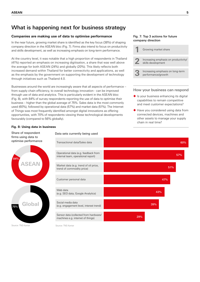## What is happening next for business strategy

## **Companies are making use of data to optimise performance**

In the near future, growing market share is identified as the key focus (38%) of shaping company direction in the ASEAN bloc (Fig. 7). Firms also intend to focus on productivity and skills development, as well as increasing emphasis on long-term performance.

At the country level, it was notable that a high proportion of respondents in Thailand (41%) reported an emphasis on increasing digitisation, a share that was well above the average for both ASEAN (24%) and globally (20%). This likely reflects both increased demand within Thailand for better connectivity and applications, as well as the emphasis by the government on supporting the development of technology through initiatives such as Thailand 4.0.

Businesses around the world are increasingly aware that all aspects of performance – from supply chain efficiency, to overall technology innovation - can be improved through use of data and analytics. This is particularly evident in the ASEAN bloc (Fig. 8), with 84% of survey respondents reporting the use of data to optimise their business – higher than the global average of 75%. Sales data is the most commonly used (60%), followed by operational data (57%) and market data (51%). The Internet of Things was most frequently identified amongst digital innovations as offering opportunities, with 70% of respondents viewing these technological developments favourably (compared to 56% globally).

## Fig. 7: Top 3 actions for future company direction

| Growing market share                                       |
|------------------------------------------------------------|
| Increasing emphasis on productivity/<br>skills development |
| Increasing emphasis on long-term<br>performance/growth     |

## How your business can respond

- ◆ Is your business enhancing its digital capabilities to remain competitive and meet customer expectations?
- ◆ Have you considered using data from connected devices, machines and other assets to manage your supply chain in real time?

# 84% 75% **ASEAN Global**

**Fig. 8: Using data in business**

Share of respondent firms using data to

Data sets currently being used



Source: TNS Kantar

Source: TNS Kantar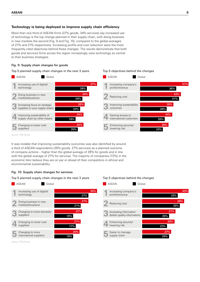## **Technology is being deployed to improve supply chain efficiency**

More than one third of ASEAN firms (37% goods, 34% services) say increased use of technology is the top change planned in their supply chain, with doing business in new markets the second (Fig. 9 and Fig. 10), compared to the global averages of 27% and 21% respectively. Increasing profits and cost reduction were the most frequently cited objectives behind these changes. The results demonstrate that both goods and services firms across the region increasingly view technology as central to their business strategies.

### Fig. 9: Supply chain changes for goods

Top 5 planned supply chain changes in the next 3 years



Source: TNS Kantar

It was notable that improving sustainability outcomes was also identified by around a third of ASEAN respondents (35% goods, 27% services) as a planned outcome of company actions – higher than the global average of 28% for goods and in line with the global average of 27% for services. The majority of companies (72%) in the economic bloc believe they are on par or ahead of their competitors in ethical and environmental sustainability.

#### Fig. 10: Supply chain changes for services

Top 5 planned supply chain changes in the next 3 years



Top 5 objectives behind the changes

Top 5 objectives behind the changes



Source: TNS Kantar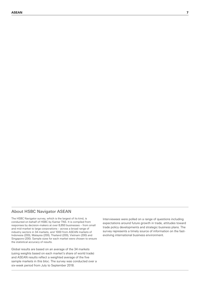## About HSBC Navigator ASEAN

The HSBC Navigator survey, which is the largest of its kind, is conducted on behalf of HSBC by Kantar TNS. It is compiled from responses by decision-makers at over 8,650 businesses – from small and mid-market to large corporations – across a broad range of industry sectors in 34 markets, and 1000 from ASEAN markets of Indonesia (200), Malaysia (200), Thailand (200), Vietnam (200) and Singapore (200). Sample sizes for each market were chosen to ensure the statistical accuracy of results.

Global results are based on an average of the 34 markets (using weights based on each market's share of world trade) and ASEAN results reflect a weighted average of the five sample markets in this bloc. The survey was conducted over a six-week period from July to September 2018.

Interviewees were polled on a range of questions including expectations around future growth in trade, attitudes toward trade policy developments and strategic business plans. The survey represents a timely source of information on the fastevolving international business environment.